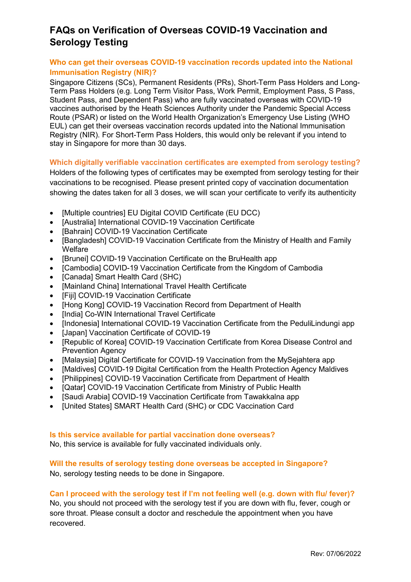# **FAQs on Verification of Overseas COVID-19 Vaccination and Serology Testing**

## **Who can get their overseas COVID-19 vaccination records updated into the National Immunisation Registry (NIR)?**

Singapore Citizens (SCs), Permanent Residents (PRs), Short-Term Pass Holders and Long-Term Pass Holders (e.g. Long Term Visitor Pass, Work Permit, Employment Pass, S Pass, Student Pass, and Dependent Pass) who are fully vaccinated overseas with COVID-19 vaccines authorised by the Heath Sciences Authority under the Pandemic Special Access Route (PSAR) or listed on the World Health Organization's Emergency Use Listing (WHO EUL) can get their overseas vaccination records updated into the National Immunisation Registry (NIR). For Short-Term Pass Holders, this would only be relevant if you intend to stay in Singapore for more than 30 days.

## **Which digitally verifiable vaccination certificates are exempted from serology testing?**

Holders of the following types of certificates may be exempted from serology testing for their vaccinations to be recognised. Please present printed copy of vaccination documentation showing the dates taken for all 3 doses, we will scan your certificate to verify its authenticity

- [Multiple countries] EU Digital COVID Certificate (EU DCC)
- [Australia] International COVID-19 Vaccination Certificate
- [Bahrain] COVID-19 Vaccination Certificate
- IBangladesh COVID-19 Vaccination Certificate from the Ministry of Health and Family **Welfare**
- [Brunei] COVID-19 Vaccination Certificate on the BruHealth app
- [Cambodia] COVID-19 Vaccination Certificate from the Kingdom of Cambodia
- [Canada] Smart Health Card (SHC)
- [Mainland China] International Travel Health Certificate
- [Fiji] COVID-19 Vaccination Certificate
- [Hong Kong] COVID-19 Vaccination Record from Department of Health
- [India] Co-WIN International Travel Certificate
- [Indonesia] International COVID-19 Vaccination Certificate from the PeduliLindungi app
- [Japan] Vaccination Certificate of COVID-19
- [Republic of Korea] COVID-19 Vaccination Certificate from Korea Disease Control and Prevention Agency
- IMalaysial Digital Certificate for COVID-19 Vaccination from the MySeiahtera app
- [Maldives] COVID-19 Digital Certification from the Health Protection Agency Maldives
- [Philippines] COVID-19 Vaccination Certificate from Department of Health
- [Qatar] COVID-19 Vaccination Certificate from Ministry of Public Health
- [Saudi Arabia] COVID-19 Vaccination Certificate from Tawakkalna app
- [United States] SMART Health Card (SHC) or CDC Vaccination Card

## **Is this service available for partial vaccination done overseas?**

No, this service is available for fully vaccinated individuals only.

## **Will the results of serology testing done overseas be accepted in Singapore?**

No, serology testing needs to be done in Singapore.

# **Can I proceed with the serology test if I'm not feeling well (e.g. down with flu/ fever)?**

No, you should not proceed with the serology test if you are down with flu, fever, cough or sore throat. Please consult a doctor and reschedule the appointment when you have recovered.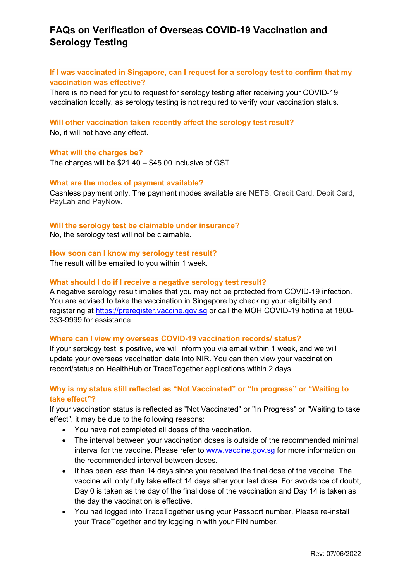# **FAQs on Verification of Overseas COVID-19 Vaccination and Serology Testing**

## **If I was vaccinated in Singapore, can I request for a serology test to confirm that my vaccination was effective?**

There is no need for you to request for serology testing after receiving your COVID-19 vaccination locally, as serology testing is not required to verify your vaccination status.

#### **Will other vaccination taken recently affect the serology test result?**

No, it will not have any effect.

#### **What will the charges be?**

The charges will be \$21.40 – \$45.00 inclusive of GST.

#### **What are the modes of payment available?**

Cashless payment only. The payment modes available are NETS, Credit Card, Debit Card, PayLah and PayNow.

### **Will the serology test be claimable under insurance?**

No, the serology test will not be claimable.

### **How soon can I know my serology test result?**

The result will be emailed to you within 1 week.

#### **What should I do if I receive a negative serology test result?**

A negative serology result implies that you may not be protected from COVID-19 infection. You are advised to take the vaccination in Singapore by checking your eligibility and registering at [https://preregister.vaccine.gov.sg](https://preregister.vaccine.gov.sg/) or call the MOH COVID-19 hotline at 1800- 333-9999 for assistance.

#### **Where can I view my overseas COVID-19 vaccination records/ status?**

If your serology test is positive, we will inform you via email within 1 week, and we will update your overseas vaccination data into NIR. You can then view your vaccination record/status on HealthHub or TraceTogether applications within 2 days.

## **Why is my status still reflected as "Not Vaccinated" or "In progress" or "Waiting to take effect"?**

If your vaccination status is reflected as "Not Vaccinated" or "In Progress" or "Waiting to take effect", it may be due to the following reasons:

- You have not completed all doses of the vaccination.
- The interval between your vaccination doses is outside of the recommended minimal interval for the vaccine. Please refer to [www.vaccine.gov.sg](http://www.vaccine.gov.sg/) for more information on the recommended interval between doses.
- It has been less than 14 days since you received the final dose of the vaccine. The vaccine will only fully take effect 14 days after your last dose. For avoidance of doubt, Day 0 is taken as the day of the final dose of the vaccination and Day 14 is taken as the day the vaccination is effective.
- You had logged into TraceTogether using your Passport number. Please re-install your TraceTogether and try logging in with your FIN number.